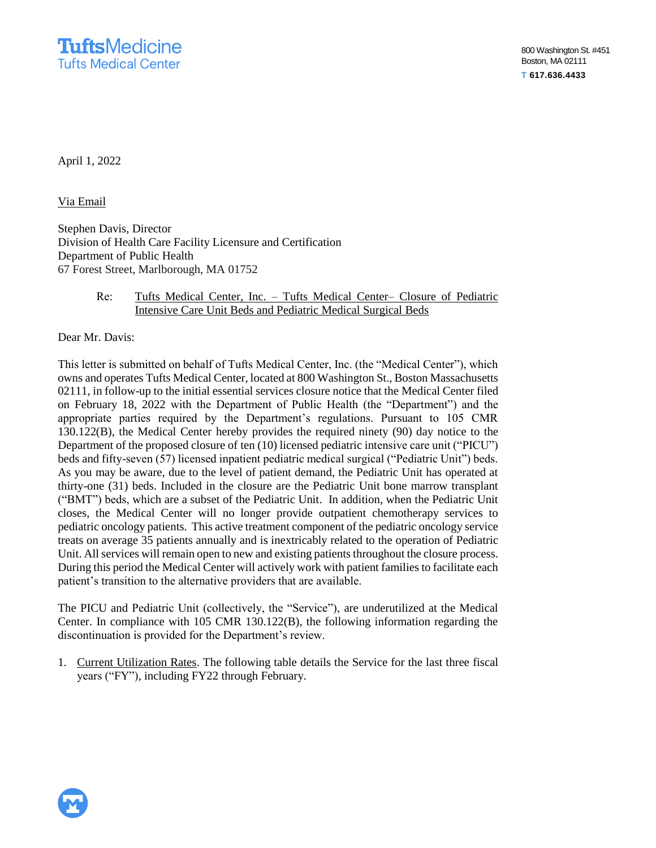April 1, 2022

Via Email

Stephen Davis, Director Division of Health Care Facility Licensure and Certification Department of Public Health 67 Forest Street, Marlborough, MA 01752

## Re: Tufts Medical Center, Inc. – Tufts Medical Center– Closure of Pediatric Intensive Care Unit Beds and Pediatric Medical Surgical Beds

Dear Mr. Davis:

This letter is submitted on behalf of Tufts Medical Center, Inc. (the "Medical Center"), which owns and operates Tufts Medical Center, located at 800 Washington St., Boston Massachusetts 02111, in follow-up to the initial essential services closure notice that the Medical Center filed on February 18, 2022 with the Department of Public Health (the "Department") and the appropriate parties required by the Department's regulations. Pursuant to 105 CMR 130.122(B), the Medical Center hereby provides the required ninety (90) day notice to the Department of the proposed closure of ten (10) licensed pediatric intensive care unit ("PICU") beds and fifty-seven (57) licensed inpatient pediatric medical surgical ("Pediatric Unit") beds. As you may be aware, due to the level of patient demand, the Pediatric Unit has operated at thirty-one (31) beds. Included in the closure are the Pediatric Unit bone marrow transplant ("BMT") beds, which are a subset of the Pediatric Unit. In addition, when the Pediatric Unit closes, the Medical Center will no longer provide outpatient chemotherapy services to pediatric oncology patients. This active treatment component of the pediatric oncology service treats on average 35 patients annually and is inextricably related to the operation of Pediatric Unit. All services will remain open to new and existing patients throughout the closure process. During this period the Medical Center will actively work with patient families to facilitate each patient's transition to the alternative providers that are available.

The PICU and Pediatric Unit (collectively, the "Service"), are underutilized at the Medical Center. In compliance with 105 CMR 130.122(B), the following information regarding the discontinuation is provided for the Department's review.

1. Current Utilization Rates. The following table details the Service for the last three fiscal years ("FY"), including FY22 through February.

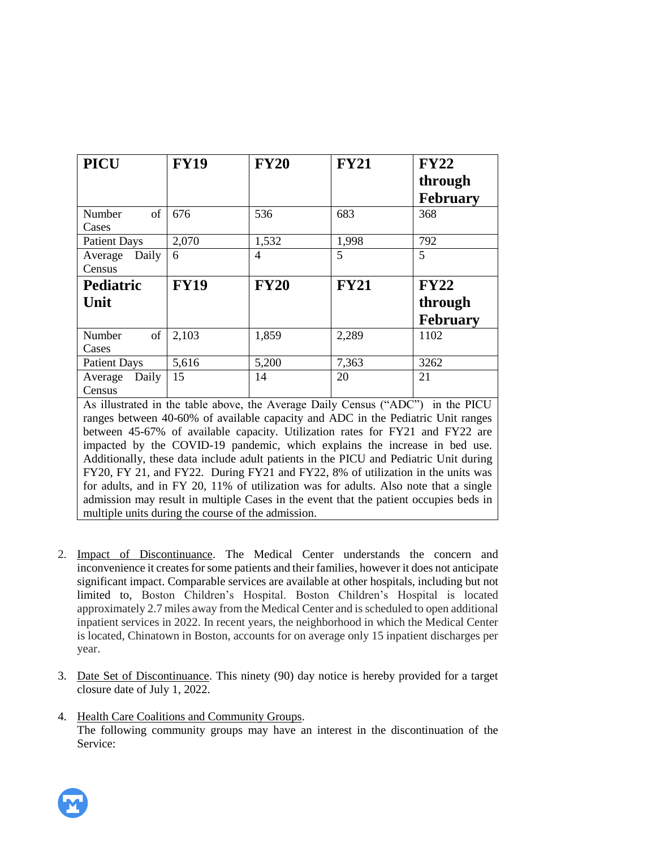| <b>PICU</b>                                                                           | <b>FY19</b> | <b>FY20</b> | <b>FY21</b>    | <b>FY22</b>     |
|---------------------------------------------------------------------------------------|-------------|-------------|----------------|-----------------|
|                                                                                       |             |             |                | through         |
|                                                                                       |             |             |                | <b>February</b> |
| Number<br>of                                                                          | 676         | 536         | 683            | 368             |
| Cases                                                                                 |             |             |                |                 |
| <b>Patient Days</b>                                                                   | 2,070       | 1,532       | 1,998          | 792             |
| Average<br>Daily                                                                      | 6           | 4           | $\overline{5}$ | 5               |
| Census                                                                                |             |             |                |                 |
| <b>Pediatric</b>                                                                      | <b>FY19</b> | <b>FY20</b> | <b>FY21</b>    | <b>FY22</b>     |
| Unit                                                                                  |             |             |                | through         |
|                                                                                       |             |             |                | <b>February</b> |
| Number<br>of                                                                          | 2,103       | 1,859       | 2,289          | 1102            |
| Cases                                                                                 |             |             |                |                 |
| <b>Patient Days</b>                                                                   | 5,616       | 5,200       | 7,363          | 3262            |
| Daily<br>Average                                                                      | 15          | 14          | 20             | 21              |
| Census                                                                                |             |             |                |                 |
| As illustrated in the table above, the Average Daily Census ("ADC") in the PICU       |             |             |                |                 |
| ranges between 40-60% of available capacity and ADC in the Pediatric Unit ranges      |             |             |                |                 |
| between 45-67% of available capacity. Utilization rates for FY21 and FY22 are         |             |             |                |                 |
| impacted by the COVID-19 pandemic, which explains the increase in bed use.            |             |             |                |                 |
| Additionally, these data include adult patients in the PICU and Pediatric Unit during |             |             |                |                 |
| FY20, FY 21, and FY22. During FY21 and FY22, 8% of utilization in the units was       |             |             |                |                 |

- for adults, and in FY 20, 11% of utilization was for adults. Also note that a single admission may result in multiple Cases in the event that the patient occupies beds in multiple units during the course of the admission.
- 2. Impact of Discontinuance. The Medical Center understands the concern and inconvenience it creates for some patients and their families, however it does not anticipate significant impact. Comparable services are available at other hospitals, including but not limited to, Boston Children's Hospital. Boston Children's Hospital is located approximately 2.7 miles away from the Medical Center and is scheduled to open additional inpatient services in 2022. In recent years, the neighborhood in which the Medical Center is located, Chinatown in Boston, accounts for on average only 15 inpatient discharges per year.
- 3. Date Set of Discontinuance. This ninety (90) day notice is hereby provided for a target closure date of July 1, 2022.
- 4. Health Care Coalitions and Community Groups. The following community groups may have an interest in the discontinuation of the Service:

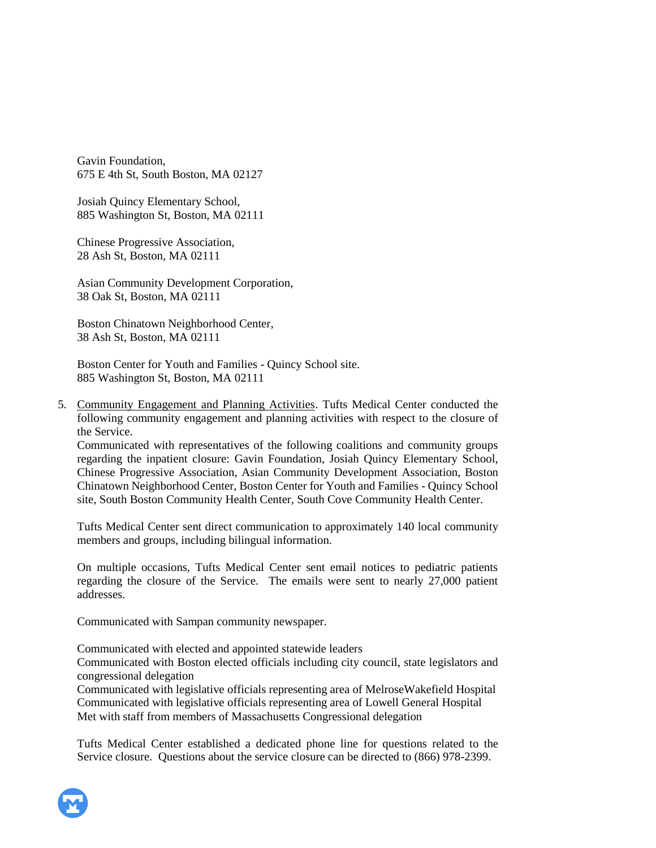Gavin Foundation, 675 E 4th St, South Boston, MA 02127

Josiah Quincy Elementary School, 885 Washington St, Boston, MA 02111

Chinese Progressive Association, 28 Ash St, Boston, MA 02111

Asian Community Development Corporation, 38 Oak St, Boston, MA 02111

Boston Chinatown Neighborhood Center, 38 Ash St, Boston, MA 02111

Boston Center for Youth and Families - Quincy School site. 885 Washington St, Boston, MA 02111

5. Community Engagement and Planning Activities. Tufts Medical Center conducted the following community engagement and planning activities with respect to the closure of the Service.

Communicated with representatives of the following coalitions and community groups regarding the inpatient closure: Gavin Foundation, Josiah Quincy Elementary School, Chinese Progressive Association, Asian Community Development Association, Boston Chinatown Neighborhood Center, Boston Center for Youth and Families - Quincy School site, South Boston Community Health Center, South Cove Community Health Center.

Tufts Medical Center sent direct communication to approximately 140 local community members and groups, including bilingual information.

On multiple occasions, Tufts Medical Center sent email notices to pediatric patients regarding the closure of the Service. The emails were sent to nearly 27,000 patient addresses.

Communicated with Sampan community newspaper.

Communicated with elected and appointed statewide leaders

Communicated with Boston elected officials including city council, state legislators and congressional delegation

Communicated with legislative officials representing area of MelroseWakefield Hospital Communicated with legislative officials representing area of Lowell General Hospital Met with staff from members of Massachusetts Congressional delegation

Tufts Medical Center established a dedicated phone line for questions related to the Service closure. Questions about the service closure can be directed to (866) 978-2399.